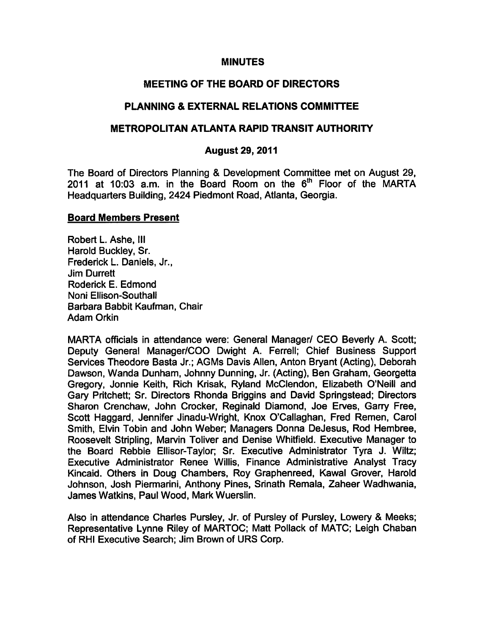#### MINUTES

## MEETING OF THE BOARD OF DIRECTORS

## PLANNING & EXTERNAL RELATIONS COMMITTEE

### METROPOLITAN ATLANTA RAPID TRANSIT AUTHORITY

#### August 29, 2011

The Board of Directors Planning & Development Committee met on August 29, 2011 at 10:03 a.m. in the Board Room on the  $6<sup>th</sup>$  Floor of the MARTA Headquarters Building, 2424 Piedmont Road, Atlanta, Georgia.

#### Board Members Present

Robert L. Ashe, III Harold Buckley, Sr. Frederick L. Daniels, Jr., Jim Durrett Roderick E. Edmond Noni Ellison-Southall Barbara Babbit Kaufman, Chair Adam Orkin

MARTA officials in attendance were: General Manager/ CEO Beverly A. Scott; Deputy General Manager/COO Dwight A. Ferrell; Chief Business Support Services Theodore Basta Jr.; AGMs Davis Allen, Anton Bryant (Acting), Deborah Dawson, Wanda Dunham, Johnny Dunning, Jr. (Acting), Ben Graham, Georgetta Gregory, Jonnie Keith, Rich Krisak, Ryland McClendon, Elizabeth O'Neill and Gary Pritchett; Sr. Directors Rhonda Briggins and David Springstead; Directors Sharon Crenchaw, John Crocker, Reginald Diamond, Joe Erves, Garry Free, Scott Haggard, Jennifer Jinadu-Wright, Knox O'Caliaghan, Fred Remen, Carol Smith, Elvin Tobin and John Weber; Managers Donna DeJesus, Rod Hembree, Roosevelt Stripling, Marvin Toliver and Denise Whitfield. Executive Manager to the Board Rebbie Ellisor-Taylor; Sr. Executive Administrator Tyra J. Wiltz; Executive Administrator Renee Willis, Finance Administrative Analyst Tracy Kincaid. Others in Doug Chambers, Roy Graphenreed, Kawal Grover, Harold Johnson, Josh Piermarini, Anthony Pines, Srinath Remala, Zaheer Wadhwania, James Watkins, Paul Wood, Mark Wuerslin.

Also in attendance Charles Pursley, Jr. of Pursley of Pursley, Lowery & Meeks; Representative Lynne Riley of MARTOC; Matt Pollack of MATC; Leigh Chaban of RHI Executive Search; Jim Brown of URS Corp.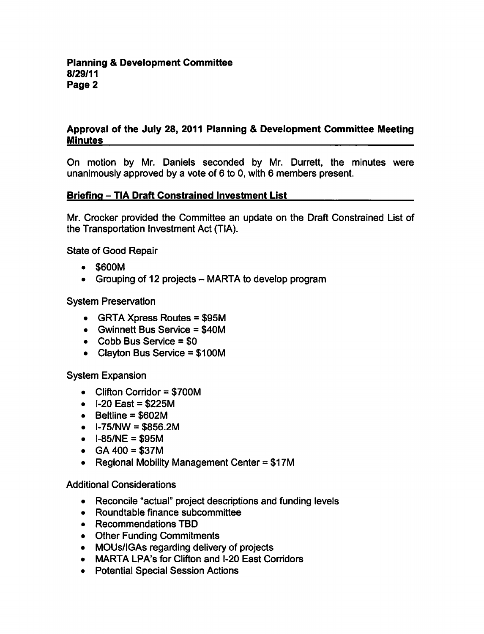## Approval of the July 28, 2011 Planning & Development Committee Meeting **Minutes**

On motion by Mr. Daniels seconded by Mr. Durrett, the minutes were unanimously approved by a vote of  $6$  to 0, with  $6$  members present.

# Briefing - TIA Draft Constrained Investment List

Mr. Crocker provided the Committee an update on the Draft Constrained List of the Transportation Investment Act (TIA).

State of Good Repair

- \$600M
- Grouping of 12 projects  $-$  MARTA to develop program

System Preservation

- $\bullet$  GRTA Xpress Routes = \$95M
- $\bullet$  Gwinnett Bus Service = \$40M
- $\bullet$  Cobb Bus Service = \$0
- $\bullet$  Clayton Bus Service = \$100M

System Expansion

- $\bullet$  Clifton Corridor = \$700M
- $\bullet$  I-20 East = \$225M
- $\bullet$  Beltline = \$602M
- $\bullet$  I-75/NW = \$856.2M
- $-I-85/NE = $95M$
- $\bullet$  GA 400 = \$37M
- Regional Mobility Management Center  $= $17M$

Additional Considerations

- Reconcile "actual" project descriptions and funding levels
- Roundtable finance subcommittee
- Recommendations TBD
- Other Funding Commitments
- MOUs/IGAs regarding delivery of projects
- MARTA LPA's for Clifton and I-20 East Corridors
- Potential Special Session Actions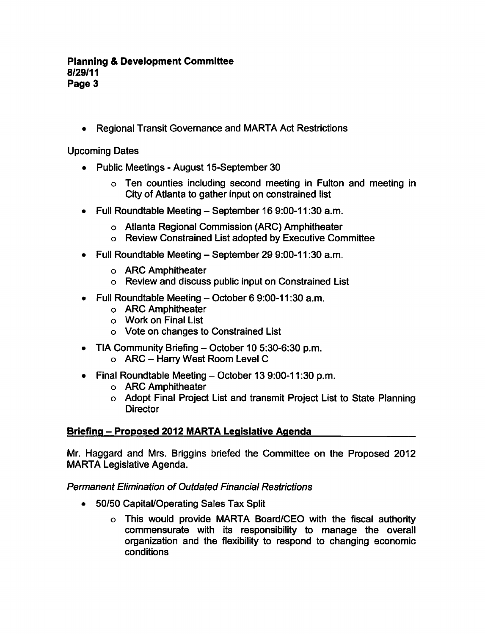#### **Planning & Development Committee** 8/29/11 Page 3

Regional Transit Governance and MARTA Act Restrictions

Upcoming Dates

- Public Meetings August 15-September 30
	- Ten counties including second meeting in Fulton and meeting in City of Atlanta to gather input on constrained list
- $\bullet$  Full Roundtable Meeting September 16 9:00-11:30 a.m.
	- Atlanta Regional Commission (ARC) Amphitheater
	- Review Constrained List adopted by Executive Committee
- Full Roundtable Meeting  $-$  September 29 9:00-11:30 a.m.
	- ARC Amphitheater
	- Review and discuss public input on Constrained List
- Full Roundtable Meeting  $-$  October 6 9:00-11:30 a.m.
	- ARC Amphitheater
	- Work on Final List
	- Vote on changes to Constrained List
- TIA Community Briefing  $-$  October 10 5:30-6:30 p.m.
	- $\circ$  ARC Harry West Room Level C
- $\bullet$  Final Roundtable Meeting October 13 9:00-11:30 p.m.
	- ARC Amphitheater
	- Adopt Final Project List and transmit Project List to State Planning **Director**

### Briefing – Proposed 2012 MARTA Legislative Agenda

Mr. Haggard and Mrs. Briggins briefed the Committee on the Proposed 2012 MARTA Legislative Agenda.

### Permanent Elimination of Outdated Financial Restrictions

- 50/50 Capital/Operating Sales Tax Split
	- This would provide MARTA Board/CEO with the fiscal authority commensurate with its responsibility to manage the overall organization and the flexibility to respond to changing economic conditions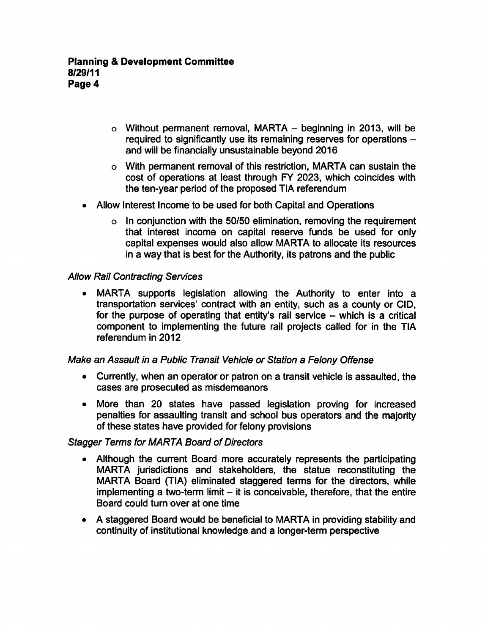- $\circ$  Without permanent removal, MARTA beginning in 2013, will be required to significantly use its remaining reserves for operations and will be financially unsustainable beyond 2016
- With permanent removal of this restriction, MARTA can sustain the cost of operations at least through FY 2023, which coincides with the ten-year period of the proposed TIA referendum
- Allow Interest Income to be used for both Capital and Operations
	- $\circ$  In conjunction with the 50/50 elimination, removing the requirement that interest income on capital reserve funds be used for only capital expenses would also allow MARTA to allocate its resources in a way that is best for the Authority, its patrons and the public

### Allow Rail Contracting Services

MARTA supports legislation allowing the Authority to enter into a  $\bullet$ transportation services' contract with an entity, such as county or CID, for the purpose of operating that entity's rail service  $-$  which is a critical component to implementing the future rail projects called for in the TIA referendum in 2012

### Make an Assault in a Public Transit Vehicle or Station a Felony Offense

- Currently, when an operator or patron on a transit vehicle is assaulted, the cases are prosecuted as misdemeanors
- More than 20 states have passed legislation proving for increased penalties for assaulting transit and school bus operators and the majority of these states have provided for felony provisions

### Stagger Terms for MARTA Board of Directors

- Although the current Board more accurately represents the participating MARTA jurisdictions and stakeholders, the statue reconstituting the MARTA Board (TIA) eliminated staggered terms for the directors, while implementing a two-term limit  $-$  it is conceivable, therefore, that the entire Board could turn over at one time
- A staggered Board would be beneficial to MARTA in providing stability and continuity of institutional knowledge and a longer-term perspective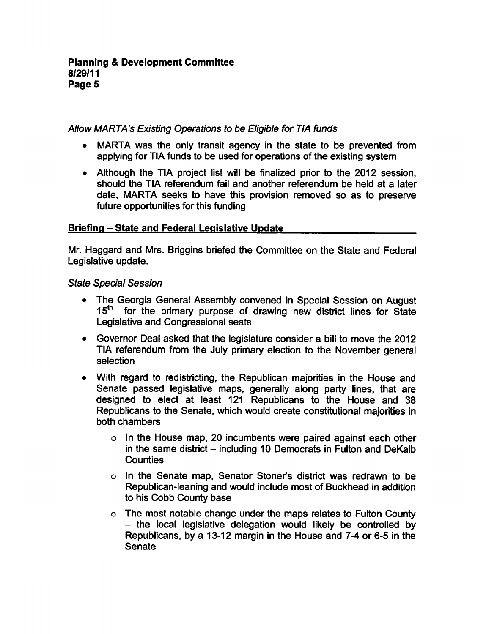### Allow MARTA's Existing Operations to be Eligible for TIA funds

- MARTA was the only transit agency in the state to be prevented from applying for TIA funds to be used for operations of the existing system
- Although the TIA project list will be finalized prior to the 2012 session, should the TIA referendum fail and another referendum be held at a later date, MARTA seeks to have this provision removed so as to preserve future opportunities for this funding

## Briefing - State and Federal Legislative Update

Mr. Haggard and Mrs. Briggins briefed the Committee on the State and Federal Legislative update.

State Special Session

- The Georgia General Assembly convened in Special Session on August 15<sup>th</sup> for the primary purpose of drawing new district lines for State Legislative and Congressional seats
- $\bullet$  Governor Deal asked that the legislature consider a bill to move the 2012 TIA referendum from the July primary election to the November general selection
- With regard to redistricting, the Republican majorities in the House and Senate passed legislative maps, generally along party lines, that are designed to elect at least 121 Republicans to the House and 38 Republicans to the Senate, which would create constitutional majorities in both chambers
	- In the House map, 20 incumbents were paired against each other in the same district  $-$  including 10 Democrats in Fulton and DeKalb **Counties**
	- In the Senate map, Senator Stoner's district was redrawn to be Republican-leaning and would include most of Buckhead in addition to his Cobb County base
	- The most notable change under the maps relates to Fulton County  $-$  the local legislative delegation would likely be controlled by Republicans, by a 13-12 margin in the House and 7-4 or 6-5 in the **Senate**